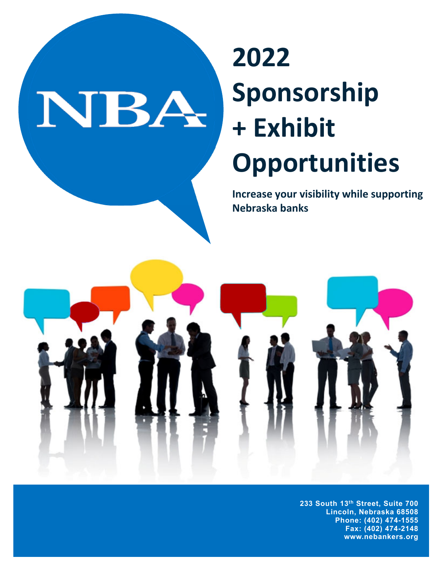# NBA

# **2022 Sponsorship + Exhibit Opportunities**

**Increase your visibility while supporting Nebraska banks**



**233 South 13th Street, Suite 700 Lincoln, Nebraska 68508 Phone: (402) 474-1555 Fax: (402) 474-2148 www.nebankers.org**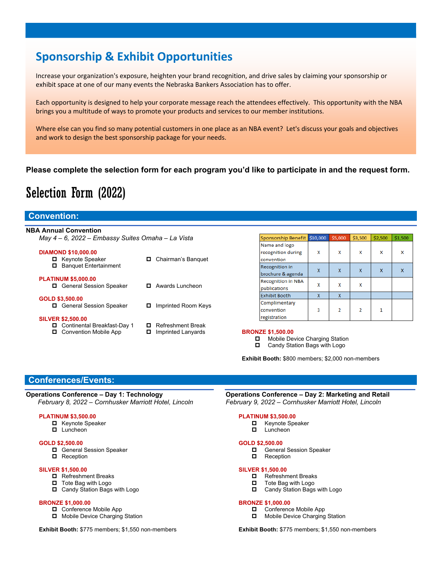# **Sponsorship & Exhibit Opportunities**

Increase your organization's exposure, heighten your brand recognition, and drive sales by claiming your sponsorship or exhibit space at one of our many events the Nebraska Bankers Association has to offer.

Each opportunity is designed to help your corporate message reach the attendees effectively. This opportunity with the NBA brings you a multitude of ways to promote your products and services to our member institutions.

Where else can you find so many potential customers in one place as an NBA event? Let's discuss your goals and objectives and work to design the best sponsorship package for your needs.

#### **Please complete the selection form for each program you'd like to participate in and the request form.**

# Selection Form (2022)

## **Convention:**

| <b>NBA Annual Convention</b>                      |                               |                                                                                    |   |                |                |         |         |
|---------------------------------------------------|-------------------------------|------------------------------------------------------------------------------------|---|----------------|----------------|---------|---------|
| May 4 – 6, 2022 – Embassy Suites Omaha – La Vista |                               | Sponsorship Benefit \$10,000                                                       |   | \$5,000        | \$3,500        | \$2,500 | \$1,500 |
|                                                   |                               | Name and logo                                                                      |   |                |                |         |         |
| <b>DIAMOND \$10,000.00</b>                        |                               | recognition during                                                                 | x | x              | x              | x       | x       |
| <b>La</b> Keynote Speaker                         | Chairman's Banquet            | convention                                                                         |   |                |                |         |         |
| <b>Banquet Entertainment</b>                      |                               | <b>Recognition in</b>                                                              |   |                |                |         |         |
|                                                   |                               | brochure & agenda                                                                  | X | $\mathsf{x}$   | X              | X       | X       |
| <b>PLATINUM \$5,000.00</b>                        |                               | <b>Recognition in NBA</b>                                                          |   |                |                |         |         |
| □ General Session Speaker                         | Awards Luncheon<br>о          | publications                                                                       | x | x              | x              |         |         |
|                                                   |                               | Exhibit Booth                                                                      | x | X              |                |         |         |
| GOLD \$3,500.00                                   |                               | Complimentary                                                                      |   |                |                |         |         |
| □ General Session Speaker                         | Imprinted Room Keys<br>о      | convention                                                                         | 3 | $\overline{2}$ | $\overline{2}$ |         |         |
| <b>SILVER \$2,500.00</b>                          |                               | registration                                                                       |   |                |                |         |         |
| Continental Breakfast-Day 1                       | <b>Refreshment Break</b><br>0 |                                                                                    |   |                |                |         |         |
| Convention Mobile App<br>о                        | Imprinted Lanyards<br>0       | <b>BRONZE \$1,500.00</b>                                                           |   |                |                |         |         |
|                                                   |                               | Mobile Device Charging Station<br>$\sim$ $\sim$ $\sim$ $\sim$ $\sim$ $\sim$ $\sim$ |   |                |                |         |         |

■ Candy Station Bags with Logo

**Exhibit Booth:** \$800 members; \$2,000 non-members

## **Conferences/Events:**

#### **Operations Conference – Day 1: Technology**  *February 8, 2022 – Cornhusker Marriott Hotel, Lincoln*

#### **PLATINUM \$3,500.00**

- $\blacksquare$  Keynote Speaker
- **Luncheon**

#### **GOLD \$2,500.00**

- General Session Speaker
- **D** Reception

#### **SILVER \$1,500.00**

- Refreshment Breaks
- $\Box$  Tote Bag with Logo
- □ Candy Station Bags with Logo

#### **BRONZE \$1,000.00**

- □ Conference Mobile App
- $\Box$  Mobile Device Charging Station

**Exhibit Booth:** \$775 members; \$1,550 non-members

# **Operations Conference – Day 2: Marketing and Retail**

 *February 9, 2022 – Cornhusker Marriott Hotel, Lincoln* 

#### **PLATINUM \$3,500.00**

- Keynote Speaker **Luncheon**
- 

#### **GOLD \$2,500.00**

- □ General Session Speaker
- Reception

#### **SILVER \$1,500.00**

- Refreshment Breaks
- $\Box$  Tote Bag with Logo
- □ Candy Station Bags with Logo

#### **BRONZE \$1,000.00**

- □ Conference Mobile App
- Mobile Device Charging Station

**Exhibit Booth:** \$775 members; \$1,550 non-members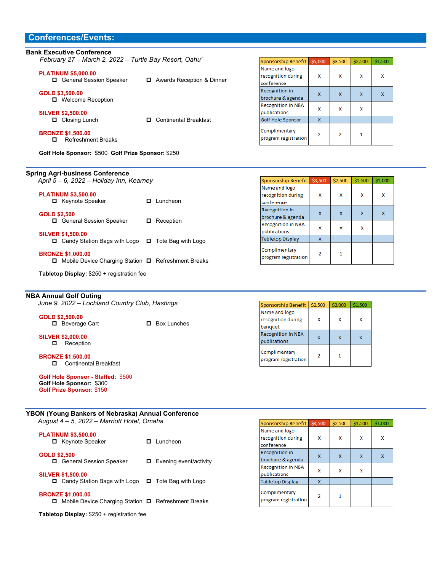# **Conferences/Events:**

| February 27 - March 2, 2022 - Turtle Bay Resort, Oahu' |                                    | Sponsorship Benef     |
|--------------------------------------------------------|------------------------------------|-----------------------|
|                                                        |                                    | Name and logo         |
| <b>PLATINUM \$5,000.00</b>                             |                                    | recognition during    |
| General Session Speaker                                | Awards Reception & Dinner          | conference            |
| GOLD \$3,500.00                                        |                                    | <b>Recognition in</b> |
| □ Welcome Reception                                    |                                    | brochure & agenda     |
|                                                        |                                    | Recognition in NBA    |
| <b>SILVER \$2,500.00</b>                               |                                    | publications          |
| Closing Lunch                                          | <b>Continental Breakfast</b><br>п. | Golf Hole Sponsor     |
| <b>BRONZE \$1,500.00</b>                               |                                    | Complimentary         |
| <b>Refreshment Breaks</b><br>п                         |                                    | program registratio   |
| Golf Hole Sponsor: \$500 Golf Prize Sponsor: \$250     |                                    |                       |
|                                                        |                                    |                       |
| <b>Spring Agri-business Conference</b>                 |                                    |                       |
| April 5 - 6, 2022 - Holiday Inn, Kearney               |                                    | Sponsorship Benef     |
|                                                        |                                    |                       |

| <b>GOLD \$2,500</b><br>□ General Session Speaker                                          | Reception |
|-------------------------------------------------------------------------------------------|-----------|
| <b>SILVER \$1,500.00</b><br>$\Box$ Candy Station Bags with Logo $\Box$ Tote Bag with Logo |           |
| <b>BRONZE \$1,000.00</b>                                                                  |           |

□ Keynote Speaker □ Luncheon

□ Mobile Device Charging Station □ Refreshment Breaks

**Tabletop Display:** \$250 + registration fee

#### **NBA Annual Golf Outing**

**PLATINUM \$3,500.00** 

*June 9, 2022 – Lochland Country Club, Hastings* 

#### **GOLD \$2,500.00**

□ Beverage Cart □ Box Lunches

**SILVER \$2,000.00 D** Reception

#### **BRONZE \$1,500.00**   $\Box$  Continental Breakfast

**Golf Hole Sponsor - Staffed:** \$500 **Golf Hole Sponsor:** \$300 **Golf Prize Sponsor:** \$150

# **YBON (Young Bankers of Nebraska) Annual Conference**

*August 4 – 5, 2022 – Marriott Hotel, Omaha* 

| <b>PLATINUM \$3,500.00</b><br>□ Keynote Speaker | $\Box$ Luncheon |
|-------------------------------------------------|-----------------|
| <b>GOLD \$2,500</b>                             |                 |

□ General Session Speaker □ Evening event/activity **SILVER \$1,500.00** 

□ Candy Station Bags with Logo □ Tote Bag with Logo

#### **BRONZE \$1,000.00**

□ Mobile Device Charging Station □ Refreshment Breaks

**Tabletop Display:** \$250 + registration fee

| Sponsorship Benefit                        | \$5,000 | \$3,500 | \$2,500 | \$1,500 |
|--------------------------------------------|---------|---------|---------|---------|
| Name and logo                              |         |         |         |         |
| recognition during<br>conference           | x       | x       | x       | x       |
| <b>Recognition in</b><br>brochure & agenda | x       | x       |         | X       |
| <b>Recognition in NBA</b><br>publications  | x       | x       |         |         |
| Golf Hole Sponsor                          | x       |         |         |         |
| Complimentary<br>program registration      | 2       | 2       |         |         |

| Sponsorship Benefit                        | \$3,500        | \$2,500 | \$1,500 | \$1,000 |
|--------------------------------------------|----------------|---------|---------|---------|
| Name and logo<br>recognition during        | X              | x       | x       | x       |
| conference                                 |                |         |         |         |
| <b>Recognition in</b><br>brochure & agenda | x              | x       |         | x       |
| <b>Recognition in NBA</b><br>publications  | x              | x       |         |         |
| <b>Tabletop Display</b>                    | X              |         |         |         |
| Complimentary<br>program registration      | $\overline{2}$ |         |         |         |

| Sponsorship Benefit                            | \$2,500 | \$2,000 | \$1,500 |
|------------------------------------------------|---------|---------|---------|
| Name and logo<br>recognition during<br>banquet | x       | x       | x       |
| <b>Recognition in NBA</b><br>publications      |         |         |         |
| Complimentary<br>program registration          |         |         |         |

| Sponsorship Benefit                               | \$3,500        | \$2,500 | \$1,500 | \$1,000 |
|---------------------------------------------------|----------------|---------|---------|---------|
| Name and logo<br>recognition during<br>conference | x              | x       | x       | x       |
| <b>Recognition in</b><br>brochure & agenda        | X              |         | x       |         |
| <b>Recognition in NBA</b><br>publications         | x              | x       | x       |         |
| <b>Tabletop Display</b>                           | X              |         |         |         |
| Complimentary<br>program registration             | $\overline{2}$ |         |         |         |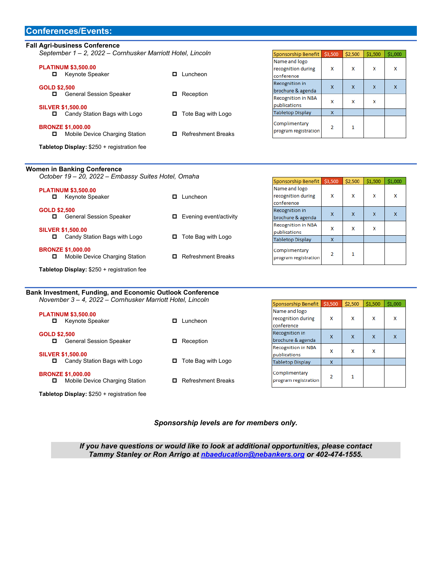#### **Conferences/Events:**

#### **Fall Agri-business Conference**

*September 1 – 2, 2022 – Cornhusker Marriott Hotel, Lincoln* 

| <b>PLATINUM \$3,500.00</b><br><b>Keynote Speaker</b><br>0       | Luncheon<br>п             |
|-----------------------------------------------------------------|---------------------------|
| <b>GOLD \$2,500</b><br><b>General Session Speaker</b><br>0      | Reception<br>о            |
| <b>SILVER \$1,500.00</b><br>Candy Station Bags with Logo<br>0   | $\Box$ Tote Bag with Logo |
| <b>BRONZE \$1,000.00</b><br>Mobile Device Charging Station<br>о | <b>Refreshment Breaks</b> |

| Sponsorship Benefit                    | \$3,500 | \$2,500 | \$1,500 | \$1,000 |
|----------------------------------------|---------|---------|---------|---------|
| Name and logo                          |         |         |         |         |
| recognition during                     | x       | x       | x       | x       |
| conference                             |         |         |         |         |
| <b>Recognition in</b>                  | x       | x       | x       | x       |
| brochure & agenda                      |         |         |         |         |
| <b>Recognition in NBA</b>              | x       | x       | x       |         |
| publications                           |         |         |         |         |
| <b>Tabletop Display</b>                | X       |         |         |         |
| Complimentary<br>program registration. | 2       |         |         |         |

Sponsorship Benefit \$3,500 \$2,500 \$1,500 \$1,000

**Tabletop Display:** \$250 + registration fee

#### **Women in Banking Conference**  *October 19 – 20, 2022 – Embassy Suites Hotel, Omaha*

| <b>PLATINUM \$3,500.00</b><br>Keynote Speaker<br>o              | Luncheon<br>0                  | Name and logo<br>recognition during                      | x | x | x | x |
|-----------------------------------------------------------------|--------------------------------|----------------------------------------------------------|---|---|---|---|
| <b>GOLD \$2,500</b><br><b>General Session Speaker</b><br>o      | Evening event/activity<br>0    | conference<br><b>Recognition in</b><br>brochure & agenda | x | X | x | x |
| <b>SILVER \$1,500.00</b>                                        |                                | <b>Recognition in NBA</b><br><b>lpublications</b>        | x | x | x |   |
| Candy Station Bags with Logo<br>о                               | Tote Bag with Logo<br>0        | <b>Tabletop Display</b>                                  | x |   |   |   |
| <b>BRONZE \$1,000.00</b><br>Mobile Device Charging Station<br>О | <b>Refreshment Breaks</b><br>0 | Complimentary<br>program registration                    | 2 |   |   |   |
| Tabletop Display: \$250 + registration fee                      |                                |                                                          |   |   |   |   |

#### **Bank Investment, Funding, and Economic Outlook Conference**  *November 3 – 4, 2022 – Cornhusker Marriott Hotel, Lincoln*

| November 3 – 4, 2022 – Cornhusker Marriott Hotel, Lincoln       |                                | Sponsorship Benefit \$3,500                       |             | \$2,500 | \$1,500 | \$1,000 |
|-----------------------------------------------------------------|--------------------------------|---------------------------------------------------|-------------|---------|---------|---------|
| <b>PLATINUM \$3,500.00</b><br>Keynote Speaker<br>◻              | uncheon.<br>о                  | Name and logo<br>recognition during<br>conference | x           | x       | x       | x       |
| <b>GOLD \$2,500</b><br><b>General Session Speaker</b><br>о      | Reception<br>0.                | <b>Recognition in</b><br>brochure & agenda        | $\mathbf x$ | x       | x       | X       |
| <b>SILVER \$1,500.00</b>                                        |                                | <b>Recognition in NBA</b><br>publications         | x           | x       | x       |         |
| Candy Station Bags with Logo<br>о                               | Tote Bag with Logo<br>o        | <b>Tabletop Display</b>                           | X           |         |         |         |
| <b>BRONZE \$1,000.00</b><br>Mobile Device Charging Station<br>о | <b>Refreshment Breaks</b><br>п | Complimentary<br>program registration             | 2           |         |         |         |

**Tabletop Display:** \$250 + registration fee

#### *Sponsorship levels are for members only.*

*If you have questions or would like to look at additional opportunities, please contact Tammy Stanley or Ron Arrigo at nbaeducation@nebankers.org or 402-474-1555.*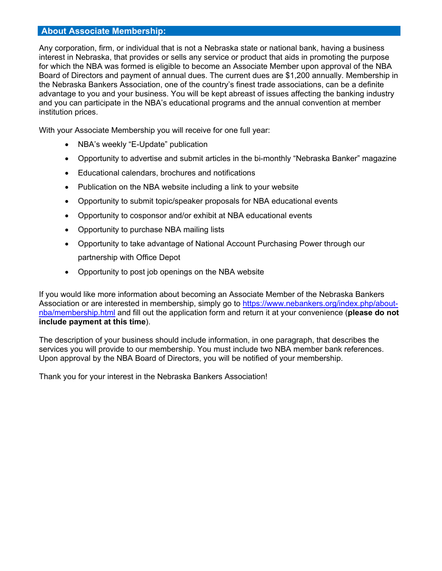# **About Associate Membership:**

Any corporation, firm, or individual that is not a Nebraska state or national bank, having a business interest in Nebraska, that provides or sells any service or product that aids in promoting the purpose for which the NBA was formed is eligible to become an Associate Member upon approval of the NBA Board of Directors and payment of annual dues. The current dues are \$1,200 annually. Membership in the Nebraska Bankers Association, one of the country's finest trade associations, can be a definite advantage to you and your business. You will be kept abreast of issues affecting the banking industry and you can participate in the NBA's educational programs and the annual convention at member institution prices.

With your Associate Membership you will receive for one full year:

- NBA's weekly "E-Update" publication
- Opportunity to advertise and submit articles in the bi-monthly "Nebraska Banker" magazine
- Educational calendars, brochures and notifications
- Publication on the NBA website including a link to your website
- Opportunity to submit topic/speaker proposals for NBA educational events
- Opportunity to cosponsor and/or exhibit at NBA educational events
- Opportunity to purchase NBA mailing lists
- Opportunity to take advantage of National Account Purchasing Power through our partnership with Office Depot
- Opportunity to post job openings on the NBA website

If you would like more information about becoming an Associate Member of the Nebraska Bankers Association or are interested in membership, simply go to https://www.nebankers.org/index.php/aboutnba/membership.html and fill out the application form and return it at your convenience (**please do not include payment at this time**).

The description of your business should include information, in one paragraph, that describes the services you will provide to our membership. You must include two NBA member bank references. Upon approval by the NBA Board of Directors, you will be notified of your membership.

Thank you for your interest in the Nebraska Bankers Association!